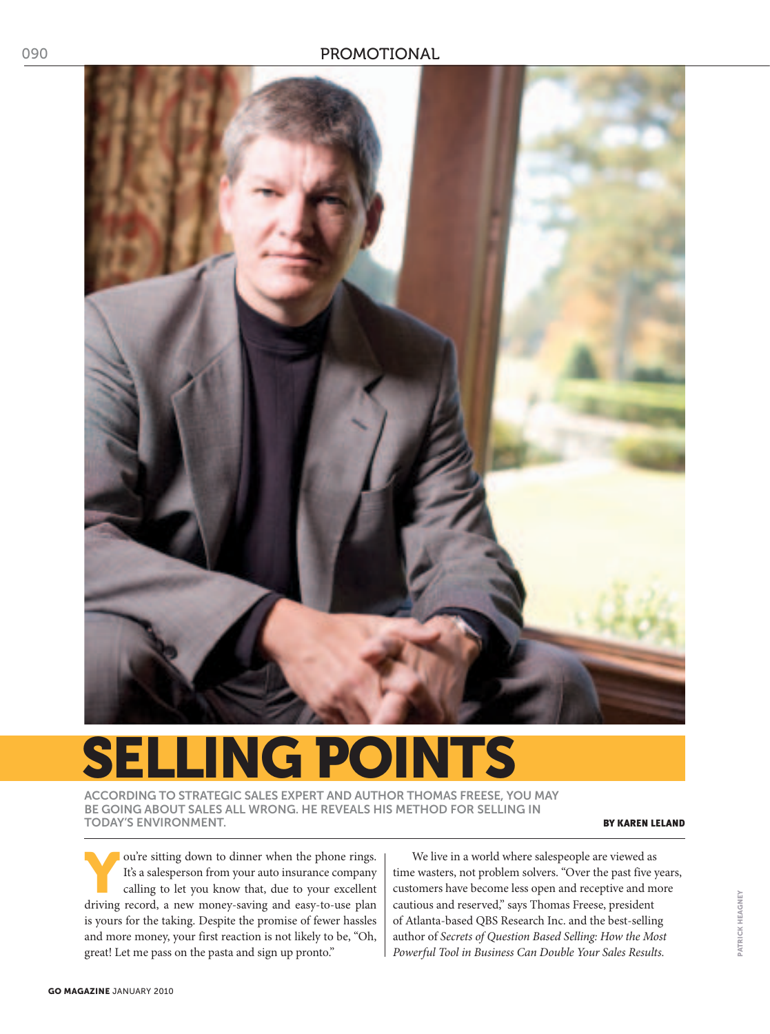

# **SELLING POINTS**

According to strategic sales expert and author Thomas Freese, you may be going about sales all wrong. he reveals his method for selling in today's environment. By Karen Leland and the second service of the service of the service of the service of the service of the service of the service of the service of the service of the service of the service of the servi

ou're sitting down to dinner when the phone rings.<br>It's a salesperson from your auto insurance company<br>calling to let you know that, due to your excellent It's a salesperson from your auto insurance company calling to let you know that, due to your excellent driving record, a new money-saving and easy-to-use plan is yours for the taking. Despite the promise of fewer hassles and more money, your first reaction is not likely to be, "Oh, great! Let me pass on the pasta and sign up pronto."

We live in a world where salespeople are viewed as time wasters, not problem solvers. "Over the past five years, customers have become less open and receptive and more cautious and reserved," says Thomas Freese, president of Atlanta-based QBS Research Inc. and the best-selling author of *Secrets of Question Based Selling: How the Most Powerful Tool in Business Can Double Your Sales Results.*